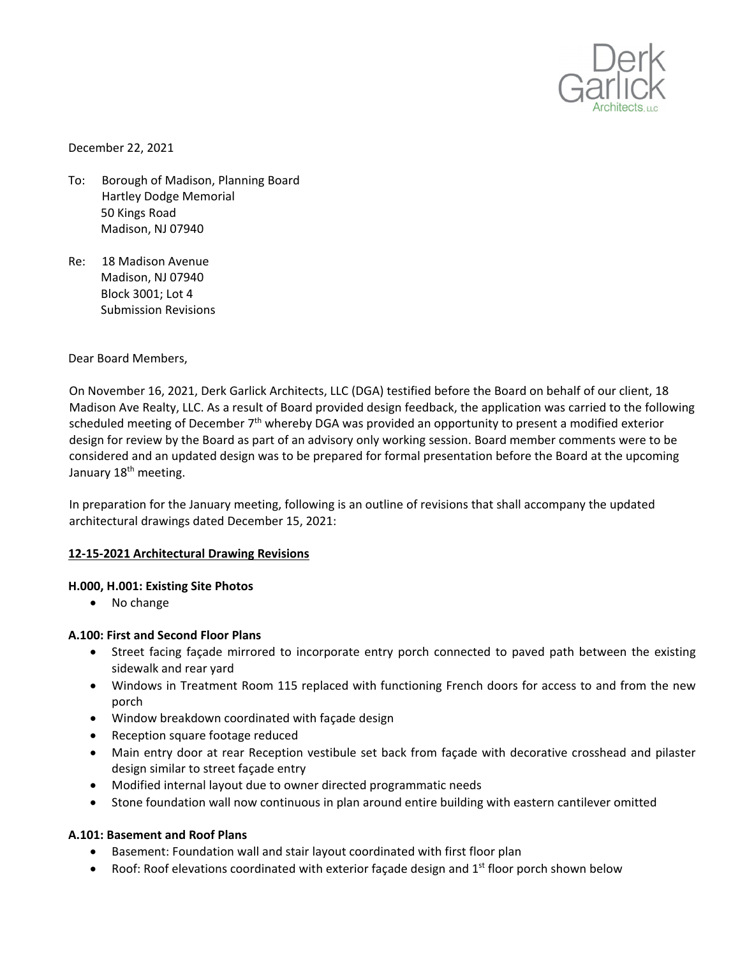

December 22, 2021

- To: Borough of Madison, Planning Board Hartley Dodge Memorial 50 Kings Road Madison, NJ 07940
- Re: 18 Madison Avenue Madison, NJ 07940 Block 3001; Lot 4 Submission Revisions

Dear Board Members,

On November 16, 2021, Derk Garlick Architects, LLC (DGA) testified before the Board on behalf of our client, 18 Madison Ave Realty, LLC. As a result of Board provided design feedback, the application was carried to the following scheduled meeting of December 7<sup>th</sup> whereby DGA was provided an opportunity to present a modified exterior design for review by the Board as part of an advisory only working session. Board member comments were to be considered and an updated design was to be prepared for formal presentation before the Board at the upcoming January 18<sup>th</sup> meeting.

In preparation for the January meeting, following is an outline of revisions that shall accompany the updated architectural drawings dated December 15, 2021:

# **12‐15‐2021 Architectural Drawing Revisions**

### **H.000, H.001: Existing Site Photos**

• No change

### **A.100: First and Second Floor Plans**

- Street facing façade mirrored to incorporate entry porch connected to paved path between the existing sidewalk and rear yard
- Windows in Treatment Room 115 replaced with functioning French doors for access to and from the new porch
- Window breakdown coordinated with façade design
- Reception square footage reduced
- Main entry door at rear Reception vestibule set back from façade with decorative crosshead and pilaster design similar to street façade entry
- Modified internal layout due to owner directed programmatic needs
- Stone foundation wall now continuous in plan around entire building with eastern cantilever omitted

# **A.101: Basement and Roof Plans**

- Basement: Foundation wall and stair layout coordinated with first floor plan
- Roof: Roof elevations coordinated with exterior façade design and  $1<sup>st</sup>$  floor porch shown below